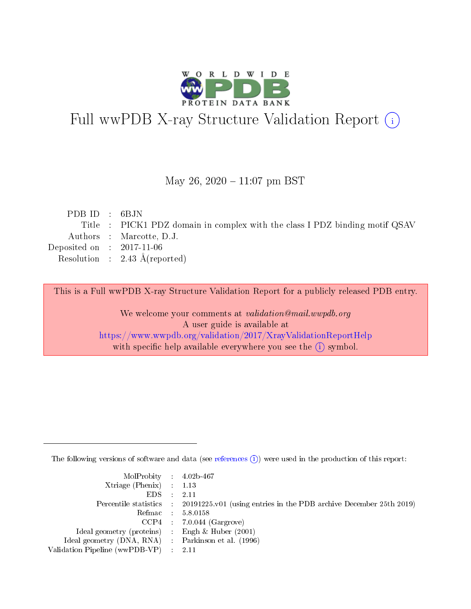

# Full wwPDB X-ray Structure Validation Report (i)

#### May 26,  $2020 - 11:07$  pm BST

| PDBID : 6BJN                |                                                                             |
|-----------------------------|-----------------------------------------------------------------------------|
|                             | Title : PICK1 PDZ domain in complex with the class I PDZ binding motif QSAV |
|                             | Authors : Marcotte, D.J.                                                    |
| Deposited on : $2017-11-06$ |                                                                             |
|                             | Resolution : $2.43 \text{ Å}$ (reported)                                    |
|                             |                                                                             |

This is a Full wwPDB X-ray Structure Validation Report for a publicly released PDB entry.

We welcome your comments at validation@mail.wwpdb.org A user guide is available at <https://www.wwpdb.org/validation/2017/XrayValidationReportHelp> with specific help available everywhere you see the  $(i)$  symbol.

The following versions of software and data (see [references](https://www.wwpdb.org/validation/2017/XrayValidationReportHelp#references)  $(i)$ ) were used in the production of this report:

| MolProbity : 4.02b-467                             |                                                                                            |
|----------------------------------------------------|--------------------------------------------------------------------------------------------|
| Xtriage (Phenix) $: 1.13$                          |                                                                                            |
| EDS :                                              | 2.11                                                                                       |
|                                                    | Percentile statistics : 20191225.v01 (using entries in the PDB archive December 25th 2019) |
|                                                    | Refmac 5.8.0158                                                                            |
|                                                    | $CCP4$ 7.0.044 (Gargrove)                                                                  |
| Ideal geometry (proteins) : Engh $\&$ Huber (2001) |                                                                                            |
| Ideal geometry (DNA, RNA) Parkinson et al. (1996)  |                                                                                            |
| Validation Pipeline (wwPDB-VP) : 2.11              |                                                                                            |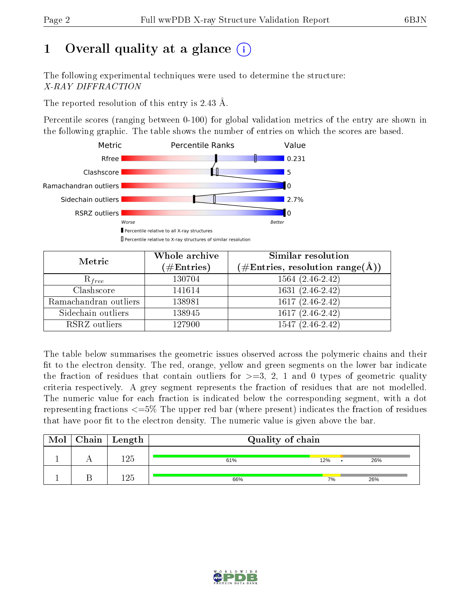# 1 [O](https://www.wwpdb.org/validation/2017/XrayValidationReportHelp#overall_quality)verall quality at a glance  $(i)$

The following experimental techniques were used to determine the structure: X-RAY DIFFRACTION

The reported resolution of this entry is 2.43 Å.

Percentile scores (ranging between 0-100) for global validation metrics of the entry are shown in the following graphic. The table shows the number of entries on which the scores are based.



| Metric                | Whole archive<br>$(\#\text{Entries})$ | Similar resolution<br>(#Entries, resolution range(Å)) |  |  |
|-----------------------|---------------------------------------|-------------------------------------------------------|--|--|
| $R_{free}$            | 130704                                | $1564(2.46-2.42)$                                     |  |  |
| Clashscore            | 141614                                | $1631(2.46-2.42)$                                     |  |  |
| Ramachandran outliers | 138981                                | $1617(2.46-2.42)$                                     |  |  |
| Sidechain outliers    | 138945                                | $1617(2.46-2.42)$                                     |  |  |
| RSRZ outliers         | 127900                                | $1547(2.46-2.42)$                                     |  |  |

The table below summarises the geometric issues observed across the polymeric chains and their fit to the electron density. The red, orange, yellow and green segments on the lower bar indicate the fraction of residues that contain outliers for  $>=3, 2, 1$  and 0 types of geometric quality criteria respectively. A grey segment represents the fraction of residues that are not modelled. The numeric value for each fraction is indicated below the corresponding segment, with a dot representing fractions  $\epsilon=5\%$  The upper red bar (where present) indicates the fraction of residues that have poor fit to the electron density. The numeric value is given above the bar.

| Mol | $Chain \  Length$ | Quality of chain |     |     |  |  |
|-----|-------------------|------------------|-----|-----|--|--|
|     | 1 O E             | 61%              | 12% | 26% |  |  |
|     |                   | 66%              | 7%  | 26% |  |  |

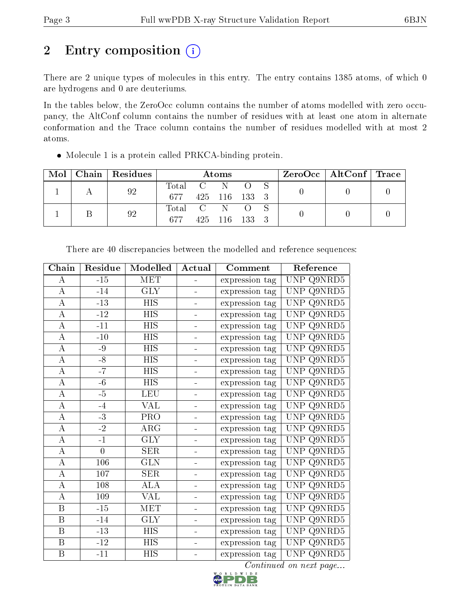# 2 Entry composition (i)

There are 2 unique types of molecules in this entry. The entry contains 1385 atoms, of which 0 are hydrogens and 0 are deuteriums.

In the tables below, the ZeroOcc column contains the number of atoms modelled with zero occupancy, the AltConf column contains the number of residues with at least one atom in alternate conformation and the Trace column contains the number of residues modelled with at most 2 atoms.

| Mol | Chain   Residues | Atoms                                                      |  |               |  |  |  | $\text{ZeroOcc}$   AltConf   Trace |  |
|-----|------------------|------------------------------------------------------------|--|---------------|--|--|--|------------------------------------|--|
|     | 92               | $\begin{array}{ccc} \text{Total} & \text{C} & \end{array}$ |  | -N            |  |  |  |                                    |  |
|     |                  | 677                                                        |  | 425 116 133 3 |  |  |  |                                    |  |
|     | 92               | Total C N                                                  |  |               |  |  |  |                                    |  |
|     |                  | 677                                                        |  | 425 116 133 3 |  |  |  |                                    |  |

Molecule 1 is a protein called PRKCA-binding protein.

| Chain              | Residue  | Modelled                | Actual                   | Comment        | Reference                                  |
|--------------------|----------|-------------------------|--------------------------|----------------|--------------------------------------------|
| А                  | $-15$    | <b>MET</b>              |                          | expression tag | UNP Q9NRD5                                 |
| $\boldsymbol{A}$   | $-14$    | <b>GLY</b>              |                          | expression tag | Q9NRD5<br>UNP.                             |
| А                  | $-13$    | $\overline{HIS}$        |                          | expression tag | UNP<br>Q9NRD5                              |
| $\boldsymbol{A}$   | $-12$    | <b>HIS</b>              | ÷.                       | expression tag | Q9NRD5<br>UNP.                             |
| $\boldsymbol{A}$   | $-11$    | <b>HIS</b>              | -                        | expression tag | Q9NRD5<br><b>UNP</b>                       |
| $\boldsymbol{A}$   | $-10$    | <b>HIS</b>              | $\overline{\phantom{0}}$ | expression tag | Q9NRD5<br><b>UNP</b>                       |
| $\boldsymbol{A}$   | $-9$     | <b>HIS</b>              | $\equiv$                 | expression tag | Q9NRD5<br><b>UNP</b>                       |
| $\boldsymbol{A}$   | $-8$     | <b>HIS</b>              |                          | expression tag | <b>UNP</b><br>Q9NRD5                       |
| $\boldsymbol{A}$   | $-7$     | <b>HIS</b>              |                          | expression tag | Q9NRD5<br><b>UNP</b>                       |
| A                  | $-6$     | <b>HIS</b>              |                          | expression tag | <b>UNP</b><br>$Q9\overline{\mathrm{NRD5}}$ |
| $\boldsymbol{A}$   | $-5$     | LEU                     |                          | expression tag | <b>UNP</b><br>Q9NRD5                       |
| A                  | $-4$     | <b>VAL</b>              |                          | expression tag | Q9NRD5<br><b>UNP</b>                       |
| $\boldsymbol{A}$   | $-3$     | PRO                     | ÷,                       | expression tag | $Q9N\overline{R}D5$<br><b>UNP</b>          |
| $\boldsymbol{A}$   | $-2$     | $\rm{ARG}$              | $\overline{a}$           | expression tag | Q9NRD5<br><b>UNP</b>                       |
| $\overline{\rm A}$ | $-1$     | $\overline{\text{GLY}}$ | ÷,                       | expression tag | <b>UNP</b><br>Q9NRD5                       |
| $\boldsymbol{A}$   | $\theta$ | <b>SER</b>              | $\overline{a}$           | expression tag | Q9NRD5<br><b>UNP</b>                       |
| $\boldsymbol{A}$   | 106      | $\overline{\text{GLN}}$ |                          | expression tag | <b>UNP</b><br>Q9NRD5                       |
| $\overline{A}$     | 107      | <b>SER</b>              |                          | expression tag | Q9NRD5<br><b>UNP</b>                       |
| A                  | 108      | <b>ALA</b>              | ÷,                       | expression tag | Q9NRD5<br><b>UNP</b>                       |
| A                  | 109      | VAL                     |                          | expression tag | $Q9\overline{\mathrm{NRD5}}$<br><b>UNP</b> |
| $\, {\bf B}$       | $-15$    | MET                     |                          | expression tag | Q9NRD5<br><b>UNP</b>                       |
| $\boldsymbol{B}$   | $-14$    | <b>GLY</b>              | $\overline{a}$           | expression tag | $Q9\overline{\mathrm{NRD5}}$<br>UNP        |
| B                  | $-13$    | <b>HIS</b>              | $\overline{a}$           | expression tag | Q9NRD5<br>UNP                              |
| $\, {\bf B}$       | $-12$    | <b>HIS</b>              | -                        | expression tag | Q9NRD5<br>$\ensuremath{\mathrm{UNP}}$      |
| $\, {\bf B}$       | $-11$    | <b>HIS</b>              | L,                       | expression tag | UNP Q9NRD5                                 |

There are 40 discrepancies between the modelled and reference sequences:

Continued on next page...

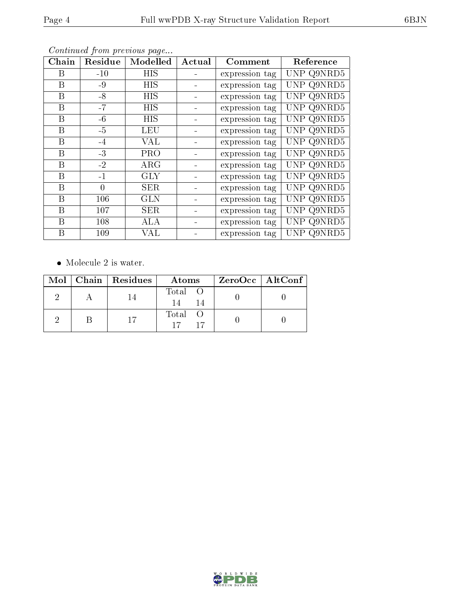| Chain | Residue | Modelled   | Actual | Comment        | Reference  |
|-------|---------|------------|--------|----------------|------------|
| В     | $-10$   | HIS        |        | expression tag | UNP Q9NRD5 |
| В     | -9      | HIS        |        | expression tag | UNP Q9NRD5 |
| B     | $-8$    | HIS        |        | expression tag | UNP Q9NRD5 |
| B     | $-7$    | HIS        |        | expression tag | UNP Q9NRD5 |
| В     | $-6$    | HIS        |        | expression tag | UNP Q9NRD5 |
| В     | $-5$    | LEU        |        | expression tag | UNP Q9NRD5 |
| B     | $-4$    | VAL        |        | expression tag | UNP Q9NRD5 |
| В     | $-3$    | PRO        |        | expression tag | UNP Q9NRD5 |
| В     | $-2$    | $\rm{ARG}$ |        | expression tag | UNP Q9NRD5 |

B -1 GLY - expression tag UNP Q9NRD5 B 0 SER - expression tag UNP Q9NRD5 B 106 GLN - expression tag UNP Q9NRD5 B 107 SER - expression tag UNP Q9NRD5 B 108 ALA - expression tag UNP Q9NRD5 B 109 VAL - expression tag UNP Q9NRD5

Continued from previous page...

• Molecule 2 is water.

|  | $Mol$   Chain   Residues | Atoms         | ZeroOcc   AltConf |
|--|--------------------------|---------------|-------------------|
|  |                          | Total O<br>14 |                   |
|  | 17                       | Total O       |                   |

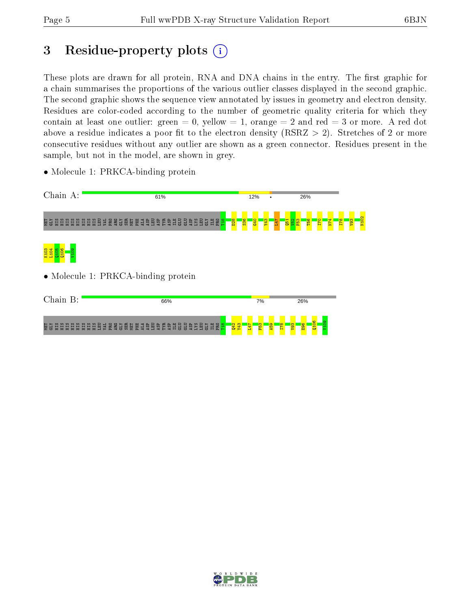# 3 Residue-property plots  $(i)$

These plots are drawn for all protein, RNA and DNA chains in the entry. The first graphic for a chain summarises the proportions of the various outlier classes displayed in the second graphic. The second graphic shows the sequence view annotated by issues in geometry and electron density. Residues are color-coded according to the number of geometric quality criteria for which they contain at least one outlier: green  $= 0$ , yellow  $= 1$ , orange  $= 2$  and red  $= 3$  or more. A red dot above a residue indicates a poor fit to the electron density (RSRZ  $> 2$ ). Stretches of 2 or more consecutive residues without any outlier are shown as a green connector. Residues present in the sample, but not in the model, are shown in grey.



• Molecule 1: PRKCA-binding protein

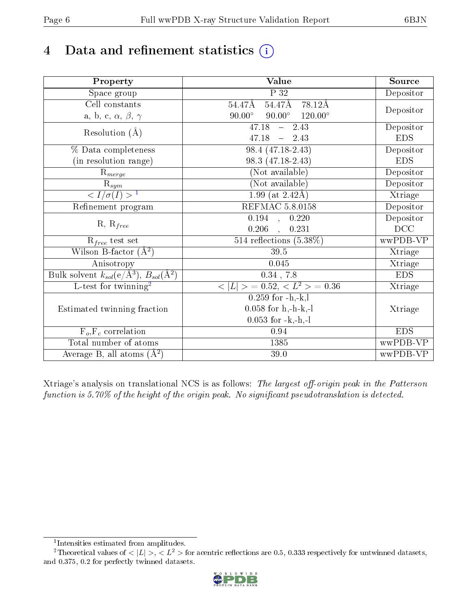# 4 Data and refinement statistics  $(i)$

| Property                                                             | Value                                              | Source     |
|----------------------------------------------------------------------|----------------------------------------------------|------------|
| Space group                                                          | $\overline{P}32$                                   | Depositor  |
| Cell constants                                                       | $54.47$ Å $78.12$ Å<br>$54.47\text{\AA}$           |            |
| a, b, c, $\alpha$ , $\beta$ , $\gamma$                               | $90.00^\circ$<br>$90.00^{\circ}$<br>$120.00^\circ$ | Depositor  |
| Resolution $(\AA)$                                                   | $\overline{47.18 - 2.43}$                          | Depositor  |
|                                                                      | $47.18 - 2.43$                                     | <b>EDS</b> |
| % Data completeness                                                  | $98.4(47.18-2.43)$                                 | Depositor  |
| (in resolution range)                                                | 98.3 (47.18-2.43)                                  | <b>EDS</b> |
| $R_{merge}$                                                          | (Not available)                                    | Depositor  |
| $\overline{\mathbf{R}}_{\underline{sym}}$                            | (Not available)                                    | Depositor  |
| $\sqrt{I/\sigma(I)} > 1$                                             | $1.99$ (at $2.42\text{\AA}$ )                      | Xtriage    |
| Refinement program                                                   | <b>REFMAC 5.8.0158</b>                             | Depositor  |
| $R, R_{free}$                                                        | 0.194, 0.220                                       | Depositor  |
|                                                                      | 0.206<br>, 0.231                                   | DCC        |
| $R_{free}$ test set                                                  | $514$ reflections $(5.38\%)$                       | wwPDB-VP   |
| Wilson B-factor $(A^2)$                                              | 39.5                                               | Xtriage    |
| Anisotropy                                                           | 0.045                                              | Xtriage    |
| Bulk solvent $k_{sol}(e/\mathring{A}^3)$ , $B_{sol}(\mathring{A}^2)$ | $0.34$ , $7.8$                                     | <b>EDS</b> |
| L-test for twinning <sup>2</sup>                                     | $< L >$ = 0.52, $< L2$ > = 0.36                    | Xtriage    |
|                                                                      | $\overline{0.259}$ for -h,-k,l                     |            |
| Estimated twinning fraction                                          | $0.058$ for h,-h-k,-l                              | Xtriage    |
|                                                                      | $0.053$ for $-k,-h,-l$                             |            |
| $F_o, F_c$ correlation                                               | 0.94                                               | <b>EDS</b> |
| Total number of atoms                                                | 1385                                               | wwPDB-VP   |
| Average B, all atoms $(A^2)$                                         | 39.0                                               | wwPDB-VP   |

Xtriage's analysis on translational NCS is as follows: The largest off-origin peak in the Patterson function is  $5.70\%$  of the height of the origin peak. No significant pseudotranslation is detected.

<sup>&</sup>lt;sup>2</sup>Theoretical values of  $\langle |L| \rangle$ ,  $\langle L^2 \rangle$  for acentric reflections are 0.5, 0.333 respectively for untwinned datasets, and 0.375, 0.2 for perfectly twinned datasets.



<span id="page-5-1"></span><span id="page-5-0"></span><sup>1</sup> Intensities estimated from amplitudes.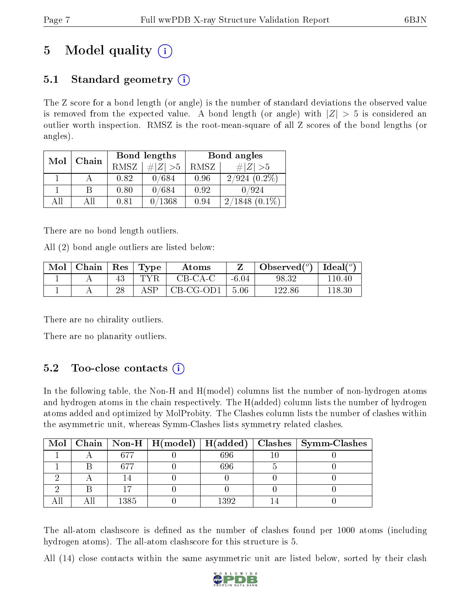# 5 Model quality  $(i)$

## 5.1 Standard geometry  $(i)$

The Z score for a bond length (or angle) is the number of standard deviations the observed value is removed from the expected value. A bond length (or angle) with  $|Z| > 5$  is considered an outlier worth inspection. RMSZ is the root-mean-square of all Z scores of the bond lengths (or angles).

| Mol | Chain |      | Bond lengths                 | Bond angles |                   |  |
|-----|-------|------|------------------------------|-------------|-------------------|--|
|     |       | RMSZ | $\vert \# \vert Z \vert > 5$ | RMSZ        | $\# Z  > 5$       |  |
|     |       | 0.82 | /684                         | 0.96        | $2/924$ $(0.2\%)$ |  |
|     | В     | 0.80 | 0/684                        | 0.92        | 0/924             |  |
| ΑH  | Аll   | 0.81 | 0/1368                       | 0.94        | 2/1848            |  |

There are no bond length outliers.

All (2) bond angle outliers are listed below:

| Mol | Chain | $\operatorname{Res}$ | $\lq$ Type | Atoms     |         | Observed $(^\circ)$ | Ideal( $^{\circ}$ ) |
|-----|-------|----------------------|------------|-----------|---------|---------------------|---------------------|
|     |       |                      | TYR        | $CB-CA-C$ | $-6.04$ | 98.32               | 110.40              |
|     |       |                      | ASP        | CB-CG-OD1 | 5.06    | 122.86              |                     |

There are no chirality outliers.

There are no planarity outliers.

### $5.2$  Too-close contacts  $(i)$

In the following table, the Non-H and H(model) columns list the number of non-hydrogen atoms and hydrogen atoms in the chain respectively. The H(added) column lists the number of hydrogen atoms added and optimized by MolProbity. The Clashes column lists the number of clashes within the asymmetric unit, whereas Symm-Clashes lists symmetry related clashes.

|  |      |      | Mol   Chain   Non-H   H(model)   H(added)   Clashes   Symm-Clashes |
|--|------|------|--------------------------------------------------------------------|
|  |      | 696  |                                                                    |
|  | 67'  | 696  |                                                                    |
|  |      |      |                                                                    |
|  |      |      |                                                                    |
|  | 1385 | 1392 |                                                                    |

The all-atom clashscore is defined as the number of clashes found per 1000 atoms (including hydrogen atoms). The all-atom clashscore for this structure is 5.

All (14) close contacts within the same asymmetric unit are listed below, sorted by their clash

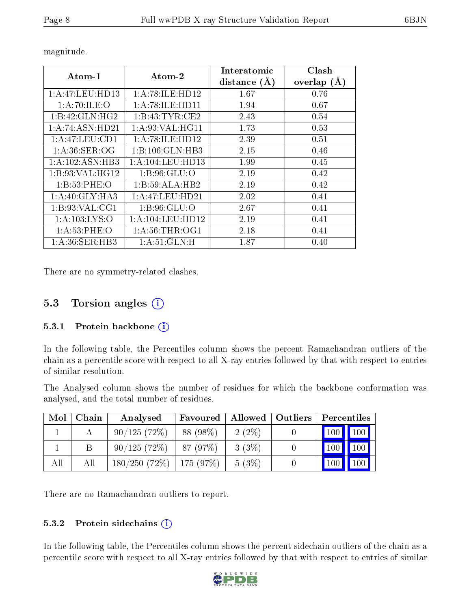| Atom-1            | $\boldsymbol{\mathrm{Atom}\text{-}2}$ | Interatomic<br>distance $(A)$ | Clash<br>overlap $(A)$ |  |
|-------------------|---------------------------------------|-------------------------------|------------------------|--|
| 1:A:47:LEU:HD13   | 1: A:78: ILE: HD12                    | 1.67                          | 0.76                   |  |
| 1: A:70: ILE:O    | 1: A:78: ILE: HDI1                    | 1.94                          | 0.67                   |  |
| 1:B:42:GLN:HG2    | 1:B:43:TYR:CE2                        | 2.43                          | 0.54                   |  |
| 1:A:74:ASN:HD21   | 1: A:93: VAL:HGI1                     | 1.73                          | 0.53                   |  |
| 1:A:47:LEU:CD1    | 1:A:78:ILE:HD12                       | 2.39                          | 0.51                   |  |
| 1: A:36: SER:OG   | 1:B:106:GLN:HB3                       | 2.15                          | 0.46                   |  |
| 1:A:102:ASN:HB3   | 1:A:104:LEU:HD13                      | 1.99                          | 0.45                   |  |
| 1:B:93:VAL:HG12   | 1: B:96: GLU:O                        | 2.19                          | 0.42                   |  |
| 1: B: 53: PHE: O  | 1:B:59:ALA:HB2                        | 2.19                          | 0.42                   |  |
| 1: A:40: GLY:HA3  | 1:A:47:LEU:HD21                       | 2.02                          | 0.41                   |  |
| 1: B:93: VAL:CG1  | 1: B:96: GLU:O                        | 2.67                          | 0.41                   |  |
| 1: A: 103: LYS: O | 1: A: 104: LEU: HD12                  | 2.19                          | 0.41                   |  |
| 1: A:53:PHE:O     | 1: A:56:THR:OG1                       | 2.18                          | 0.41                   |  |
| 1: A:36: SER:HB3  | 1: A:51: GLN:H                        | 1.87                          | $0.40\,$               |  |

magnitude.

There are no symmetry-related clashes.

### 5.3 Torsion angles (i)

#### 5.3.1 Protein backbone  $(i)$

In the following table, the Percentiles column shows the percent Ramachandran outliers of the chain as a percentile score with respect to all X-ray entries followed by that with respect to entries of similar resolution.

The Analysed column shows the number of residues for which the backbone conformation was analysed, and the total number of residues.

| Mol | Chain | Analysed                      | Favoured  |          | Allowed   Outliers | Percentiles                                  |  |
|-----|-------|-------------------------------|-----------|----------|--------------------|----------------------------------------------|--|
|     |       | 90/125(72%)                   | 88 (98\%) | $2(2\%)$ |                    | $\mid$ 100 $\mid$ 100 $\mid$                 |  |
|     |       | 90/125(72%)                   | 87(97%)   | 3(3%)    |                    | 100<br>$\vert$ 100                           |  |
| All | Аll   | $180/250$ (72\%)   175 (97\%) |           | 5(3%)    |                    | $100\text{ }$<br>$^{\prime}$ 100 $^{\prime}$ |  |

There are no Ramachandran outliers to report.

#### 5.3.2 Protein sidechains (i)

In the following table, the Percentiles column shows the percent sidechain outliers of the chain as a percentile score with respect to all X-ray entries followed by that with respect to entries of similar

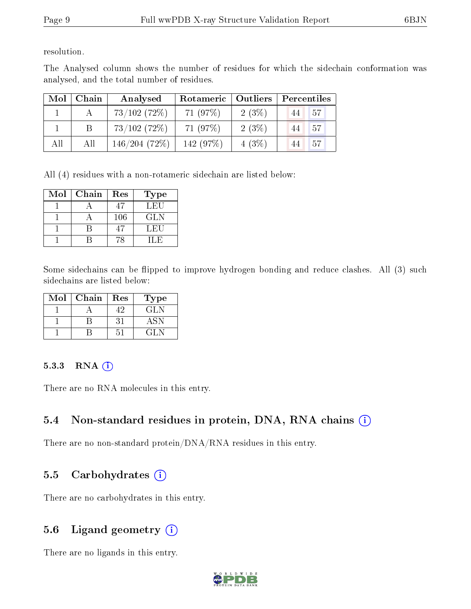resolution.

The Analysed column shows the number of residues for which the sidechain conformation was analysed, and the total number of residues.

| Mol | Chain | Analysed     | Rotameric   Outliers |          | Percentiles     |  |
|-----|-------|--------------|----------------------|----------|-----------------|--|
|     |       | 73/102(72%)  | 71 (97%)             | $2(3\%)$ | 57<br>44        |  |
|     |       | 73/102(72%)  | 71 (97\%)            | 2(3%)    | -57<br>44       |  |
| All | All   | 146/204(72%) | 142 (97%)            | $4(3\%)$ | <b>57</b><br>44 |  |

All (4) residues with a non-rotameric sidechain are listed below:

| Mol | Chain | Res | <b>Type</b> |
|-----|-------|-----|-------------|
|     |       |     | LEU         |
|     |       | 106 | GLN         |
|     |       | 47  | LEU         |
|     |       |     | H.F         |

Some sidechains can be flipped to improve hydrogen bonding and reduce clashes. All (3) such sidechains are listed below:

| Mol | Chain | Res | Type |
|-----|-------|-----|------|
|     |       |     | GLN  |
|     |       |     |      |
|     |       |     | 71 N |

#### 5.3.3 RNA (i)

There are no RNA molecules in this entry.

### 5.4 Non-standard residues in protein, DNA, RNA chains (i)

There are no non-standard protein/DNA/RNA residues in this entry.

### 5.5 Carbohydrates  $(i)$

There are no carbohydrates in this entry.

### 5.6 Ligand geometry  $(i)$

There are no ligands in this entry.

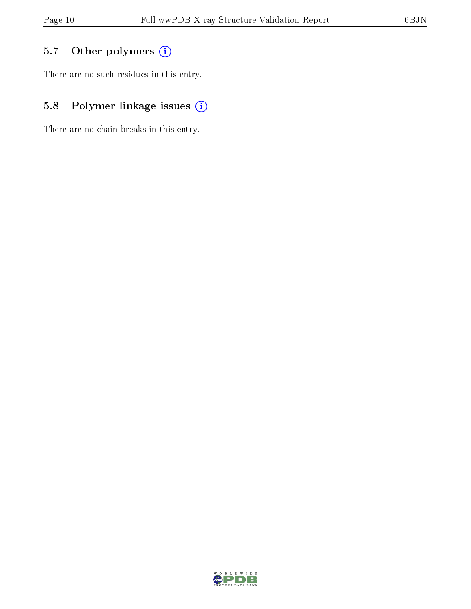## 5.7 [O](https://www.wwpdb.org/validation/2017/XrayValidationReportHelp#nonstandard_residues_and_ligands)ther polymers (i)

There are no such residues in this entry.

## 5.8 Polymer linkage issues (i)

There are no chain breaks in this entry.